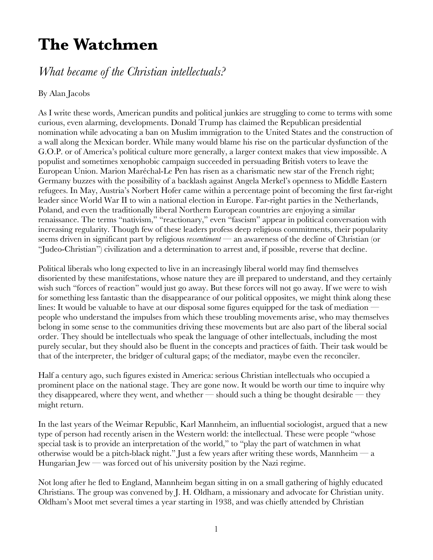## **The Watchmen**

## *What became of the Christian intellectuals?*

## By Alan Jacobs

As I write these words, American pundits and political junkies are struggling to come to terms with some curious, even alarming, developments. Donald Trump has claimed the Republican presidential nomination while advocating a ban on Muslim immigration to the United States and the construction of a wall along the Mexican border. While many would blame his rise on the particular dysfunction of the G.O.P. or of America's political culture more generally, a larger context makes that view impossible. A populist and sometimes xenophobic campaign succeeded in persuading British voters to leave the European Union. Marion Maréchal-Le Pen has risen as a charismatic new star of the French right; Germany buzzes with the possibility of a backlash against Angela Merkel's openness to Middle Eastern refugees. In May, Austria's Norbert Hofer came within a percentage point of becoming the first far-right leader since World War II to win a national election in Europe. Far-right parties in the Netherlands, Poland, and even the traditionally liberal Northern European countries are enjoying a similar renaissance. The terms "nativism," "reactionary," even "fascism" appear in political conversation with increasing regularity. Though few of these leaders profess deep religious commitments, their popularity seems driven in significant part by religious *ressentiment* — an awareness of the decline of Christian (or "Judeo-Christian") civilization and a determination to arrest and, if possible, reverse that decline.

Political liberals who long expected to live in an increasingly liberal world may find themselves disoriented by these manifestations, whose nature they are ill prepared to understand, and they certainly wish such "forces of reaction" would just go away. But these forces will not go away. If we were to wish for something less fantastic than the disappearance of our political opposites, we might think along these lines: It would be valuable to have at our disposal some figures equipped for the task of mediation people who understand the impulses from which these troubling movements arise, who may themselves belong in some sense to the communities driving these movements but are also part of the liberal social order. They should be intellectuals who speak the language of other intellectuals, including the most purely secular, but they should also be fluent in the concepts and practices of faith. Their task would be that of the interpreter, the bridger of cultural gaps; of the mediator, maybe even the reconciler.

Half a century ago, such figures existed in America: serious Christian intellectuals who occupied a prominent place on the national stage. They are gone now. It would be worth our time to inquire why they disappeared, where they went, and whether  $-$  should such a thing be thought desirable  $-$  they might return.

In the last years of the Weimar Republic, Karl Mannheim, an influential sociologist, argued that a new type of person had recently arisen in the Western world: the intellectual. These were people "whose special task is to provide an interpretation of the world," to "play the part of watchmen in what otherwise would be a pitch-black night." Just a few years after writing these words, Mannheim — a Hungarian Jew — was forced out of his university position by the Nazi regime.

Not long after he fled to England, Mannheim began sitting in on a small gathering of highly educated Christians. The group was convened by J. H. Oldham, a missionary and advocate for Christian unity. Oldham's Moot met several times a year starting in 1938, and was chiefly attended by Christian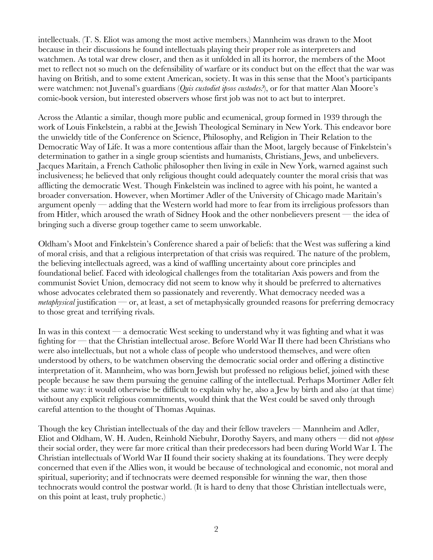intellectuals. (T. S. Eliot was among the most active members.) Mannheim was drawn to the Moot because in their discussions he found intellectuals playing their proper role as interpreters and watchmen. As total war drew closer, and then as it unfolded in all its horror, the members of the Moot met to reflect not so much on the defensibility of warfare or its conduct but on the effect that the war was having on British, and to some extent American, society. It was in this sense that the Moot's participants were watchmen: not Juvenal's guardians (*Quis custodiet ipsos custodes?*), or for that matter Alan Moore's comic-book version, but interested observers whose first job was not to act but to interpret.

Across the Atlantic a similar, though more public and ecumenical, group formed in 1939 through the work of Louis Finkelstein, a rabbi at the Jewish Theological Seminary in New York. This endeavor bore the unwieldy title of the Conference on Science, Philosophy, and Religion in Their Relation to the Democratic Way of Life. It was a more contentious affair than the Moot, largely because of Finkelstein's determination to gather in a single group scientists and humanists, Christians, Jews, and unbelievers. Jacques Maritain, a French Catholic philosopher then living in exile in New York, warned against such inclusiveness; he believed that only religious thought could adequately counter the moral crisis that was afflicting the democratic West. Though Finkelstein was inclined to agree with his point, he wanted a broader conversation. However, when Mortimer Adler of the University of Chicago made Maritain's argument openly — adding that the Western world had more to fear from its irreligious professors than from Hitler, which aroused the wrath of Sidney Hook and the other nonbelievers present — the idea of bringing such a diverse group together came to seem unworkable.

Oldham's Moot and Finkelstein's Conference shared a pair of beliefs: that the West was suffering a kind of moral crisis, and that a religious interpretation of that crisis was required. The nature of the problem, the believing intellectuals agreed, was a kind of waffling uncertainty about core principles and foundational belief. Faced with ideological challenges from the totalitarian Axis powers and from the communist Soviet Union, democracy did not seem to know why it should be preferred to alternatives whose advocates celebrated them so passionately and reverently. What democracy needed was a *metaphysical* justification — or, at least, a set of metaphysically grounded reasons for preferring democracy to those great and terrifying rivals.

In was in this context — a democratic West seeking to understand why it was fighting and what it was fighting for — that the Christian intellectual arose. Before World War II there had been Christians who were also intellectuals, but not a whole class of people who understood themselves, and were often understood by others, to be watchmen observing the democratic social order and offering a distinctive interpretation of it. Mannheim, who was born Jewish but professed no religious belief, joined with these people because he saw them pursuing the genuine calling of the intellectual. Perhaps Mortimer Adler felt the same way: it would otherwise be difficult to explain why he, also a Jew by birth and also (at that time) without any explicit religious commitments, would think that the West could be saved only through careful attention to the thought of Thomas Aquinas.

Though the key Christian intellectuals of the day and their fellow travelers — Mannheim and Adler, Eliot and Oldham, W. H. Auden, Reinhold Niebuhr, Dorothy Sayers, and many others — did not *oppose* their social order, they were far more critical than their predecessors had been during World War I. The Christian intellectuals of World War II found their society shaking at its foundations. They were deeply concerned that even if the Allies won, it would be because of technological and economic, not moral and spiritual, superiority; and if technocrats were deemed responsible for winning the war, then those technocrats would control the postwar world. (It is hard to deny that those Christian intellectuals were, on this point at least, truly prophetic.)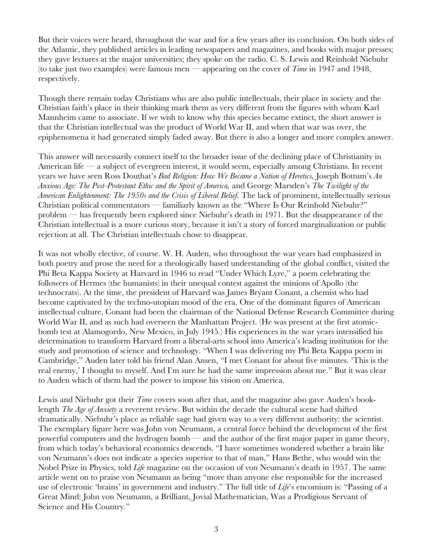But their voices were heard, throughout the war and for a few years after its conclusion. On both sides of the Atlantic, they published articles in leading newspapers and magazines, and books with major presses; they gave lectures at the major universities; they spoke on the radio. C. S. Lewis and Reinhold Niebuhr (to take just two examples) were famous men — appearing on the cover of *Time* in 1947 and 1948, respectively.

Though there remain today Christians who are also public intellectuals, their place in society and the Christian faith's place in their thinking mark them as very different from the figures with whom Karl Mannheim came to associate. If we wish to know why this species became extinct, the short answer is that the Christian intellectual was the product of World War II, and when that war was over, the epiphenomena it had generated simply faded away. But there is also a longer and more complex answer.

This answer will necessarily connect itself to the broader issue of the declining place of Christianity in American life — a subject of evergreen interest, it would seem, especially among Christians. In recent years we have seen Ross Douthat's *Bad Religion: How We Became a Nation of Heretics,* Joseph Bottum's *An Anxious Age: The Post-Protestant Ethic and the Spirit of America,* and George Marsden's *The Twilight of the American Enlightenment: The 1950s and the Crisis of Liberal Belief.* The lack of prominent, intellectually serious Christian political commentators — familiarly known as the "Where Is Our Reinhold Niebuhr?" problem — has frequently been explored since Niebuhr's death in 1971. But the disappearance of the Christian intellectual is a more curious story, because it isn't a story of forced marginalization or public rejection at all. The Christian intellectuals chose to disappear.

It was not wholly elective, of course. W. H. Auden, who throughout the war years had emphasized in both poetry and prose the need for a theologically based understanding of the global conflict, visited the Phi Beta Kappa Society at Harvard in 1946 to read "Under Which Lyre," a poem celebrating the followers of Hermes (the humanists) in their unequal contest against the minions of Apollo (the technocrats). At the time, the president of Harvard was James Bryant Conant, a chemist who had become captivated by the techno-utopian mood of the era. One of the dominant figures of American intellectual culture, Conant had been the chairman of the National Defense Research Committee during World War II, and as such had overseen the Manhattan Project. (He was present at the first atomicbomb test at Alamogordo, New Mexico, in July 1945.) His experiences in the war years intensified his determination to transform Harvard from a liberal-arts school into America's leading institution for the study and promotion of science and technology. "When I was delivering my Phi Beta Kappa poem in Cambridge," Auden later told his friend Alan Ansen, "I met Conant for about five minutes. 'This is the real enemy,' I thought to myself. And I'm sure he had the same impression about me." But it was clear to Auden which of them had the power to impose his vision on America.

Lewis and Niebuhr got their *Time* covers soon after that, and the magazine also gave Auden's booklength *The Age of Anxiety* a reverent review. But within the decade the cultural scene had shifted dramatically. Niebuhr's place as reliable sage had given way to a very different authority: the scientist. The exemplary figure here was John von Neumann, a central force behind the development of the first powerful computers and the hydrogen bomb — and the author of the first major paper in game theory, from which today's behavioral economics descends. "I have sometimes wondered whether a brain like von Neumann's does not indicate a species superior to that of man," Hans Bethe, who would win the Nobel Prize in Physics, told *Life* magazine on the occasion of von Neumann's death in 1957. The same article went on to praise von Neumann as being "more than anyone else responsible for the increased use of electronic 'brains' in government and industry." The full title of *Life*'s encomium is: "Passing of a Great Mind: John von Neumann, a Brilliant, Jovial Mathematician, Was a Prodigious Servant of Science and His Country."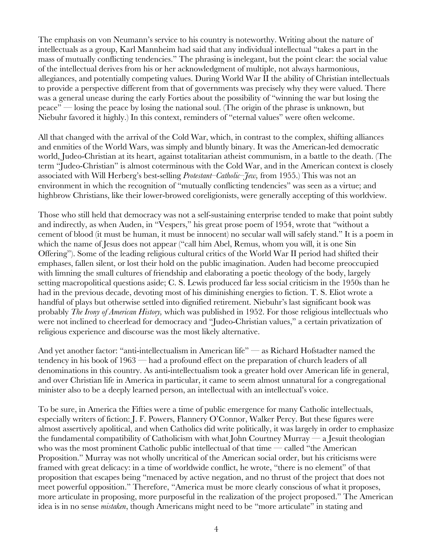The emphasis on von Neumann's service to his country is noteworthy. Writing about the nature of intellectuals as a group, Karl Mannheim had said that any individual intellectual "takes a part in the mass of mutually conflicting tendencies." The phrasing is inelegant, but the point clear: the social value of the intellectual derives from his or her acknowledgment of multiple, not always harmonious, allegiances, and potentially competing values. During World War II the ability of Christian intellectuals to provide a perspective different from that of governments was precisely why they were valued. There was a general unease during the early Forties about the possibility of "winning the war but losing the peace" — losing the peace by losing the national soul. (The origin of the phrase is unknown, but Niebuhr favored it highly.) In this context, reminders of "eternal values" were often welcome.

All that changed with the arrival of the Cold War, which, in contrast to the complex, shifting alliances and enmities of the World Wars, was simply and bluntly binary. It was the American-led democratic world, Judeo-Christian at its heart, against totalitarian atheist communism, in a battle to the death. (The term "Judeo-Christian" is almost coterminous with the Cold War, and in the American context is closely associated with Will Herberg's best-selling *Protestant–Catholic–Jew,* from 1955.) This was not an environment in which the recognition of "mutually conflicting tendencies" was seen as a virtue; and highbrow Christians, like their lower-browed coreligionists, were generally accepting of this worldview.

Those who still held that democracy was not a self-sustaining enterprise tended to make that point subtly and indirectly, as when Auden, in "Vespers," his great prose poem of 1954, wrote that "without a cement of blood (it must be human, it must be innocent) no secular wall will safely stand." It is a poem in which the name of Jesus does not appear ("call him Abel, Remus, whom you will, it is one Sin Offering"). Some of the leading religious cultural critics of the World War II period had shifted their emphases, fallen silent, or lost their hold on the public imagination. Auden had become preoccupied with limning the small cultures of friendship and elaborating a poetic theology of the body, largely setting macropolitical questions aside; C. S. Lewis produced far less social criticism in the 1950s than he had in the previous decade, devoting most of his diminishing energies to fiction. T. S. Eliot wrote a handful of plays but otherwise settled into dignified retirement. Niebuhr's last significant book was probably *The Irony of American History,* which was published in 1952. For those religious intellectuals who were not inclined to cheerlead for democracy and "Judeo-Christian values," a certain privatization of religious experience and discourse was the most likely alternative.

And yet another factor: "anti-intellectualism in American life" — as Richard Hofstadter named the tendency in his book of 1963 — had a profound effect on the preparation of church leaders of all denominations in this country. As anti-intellectualism took a greater hold over American life in general, and over Christian life in America in particular, it came to seem almost unnatural for a congregational minister also to be a deeply learned person, an intellectual with an intellectual's voice.

To be sure, in America the Fifties were a time of public emergence for many Catholic intellectuals, especially writers of fiction: J. F. Powers, Flannery O'Connor, Walker Percy. But these figures were almost assertively apolitical, and when Catholics did write politically, it was largely in order to emphasize the fundamental compatibility of Catholicism with what John Courtney Murray — a Jesuit theologian who was the most prominent Catholic public intellectual of that time  $-$  called "the American" Proposition." Murray was not wholly uncritical of the American social order, but his criticisms were framed with great delicacy: in a time of worldwide conflict, he wrote, "there is no element" of that proposition that escapes being "menaced by active negation, and no thrust of the project that does not meet powerful opposition." Therefore, "America must be more clearly conscious of what it proposes, more articulate in proposing, more purposeful in the realization of the project proposed." The American idea is in no sense *mistaken*, though Americans might need to be "more articulate" in stating and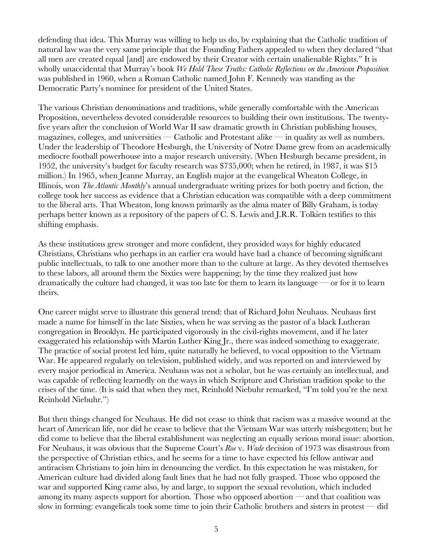defending that idea. This Murray was willing to help us do, by explaining that the Catholic tradition of natural law was the very same principle that the Founding Fathers appealed to when they declared "that all men are created equal [and] are endowed by their Creator with certain unalienable Rights." It is wholly unaccidental that Murray's book *We Hold These Truths: Catholic Reflections on the American Proposition* was published in 1960, when a Roman Catholic named John F. Kennedy was standing as the Democratic Party's nominee for president of the United States.

The various Christian denominations and traditions, while generally comfortable with the American Proposition, nevertheless devoted considerable resources to building their own institutions. The twentyfive years after the conclusion of World War II saw dramatic growth in Christian publishing houses, magazines, colleges, and universities — Catholic and Protestant alike — in quality as well as numbers. Under the leadership of Theodore Hesburgh, the University of Notre Dame grew from an academically mediocre football powerhouse into a major research university. (When Hesburgh became president, in 1952, the university's budget for faculty research was \$735,000; when he retired, in 1987, it was \$15 million.) In 1965, when Jeanne Murray, an English major at the evangelical Wheaton College, in Illinois, won *The Atlantic Monthly*'s annual undergraduate writing prizes for both poetry and fiction, the college took her success as evidence that a Christian education was compatible with a deep commitment to the liberal arts. That Wheaton, long known primarily as the alma mater of Billy Graham, is today perhaps better known as a repository of the papers of C. S. Lewis and J.R.R. Tolkien testifies to this shifting emphasis.

As these institutions grew stronger and more confident, they provided ways for highly educated Christians, Christians who perhaps in an earlier era would have had a chance of becoming significant public intellectuals, to talk to one another more than to the culture at large. As they devoted themselves to these labors, all around them the Sixties were happening; by the time they realized just how dramatically the culture had changed, it was too late for them to learn its language — or for it to learn theirs.

One career might serve to illustrate this general trend: that of Richard John Neuhaus. Neuhaus first made a name for himself in the late Sixties, when he was serving as the pastor of a black Lutheran congregation in Brooklyn. He participated vigorously in the civil-rights movement, and if he later exaggerated his relationship with Martin Luther King Jr., there was indeed something to exaggerate. The practice of social protest led him, quite naturally he believed, to vocal opposition to the Vietnam War. He appeared regularly on television, published widely, and was reported on and interviewed by every major periodical in America. Neuhaus was not a scholar, but he was certainly an intellectual, and was capable of reflecting learnedly on the ways in which Scripture and Christian tradition spoke to the crises of the time. (It is said that when they met, Reinhold Niebuhr remarked, "I'm told you're the next Reinhold Niebuhr.")

But then things changed for Neuhaus. He did not cease to think that racism was a massive wound at the heart of American life, nor did he cease to believe that the Vietnam War was utterly misbegotten; but he did come to believe that the liberal establishment was neglecting an equally serious moral issue: abortion. For Neuhaus, it was obvious that the Supreme Court's *Roe* v. *Wade* decision of 1973 was disastrous from the perspective of Christian ethics, and he seems for a time to have expected his fellow antiwar and antiracism Christians to join him in denouncing the verdict. In this expectation he was mistaken, for American culture had divided along fault lines that he had not fully grasped. Those who opposed the war and supported King came also, by and large, to support the sexual revolution, which included among its many aspects support for abortion. Those who opposed abortion — and that coalition was slow in forming: evangelicals took some time to join their Catholic brothers and sisters in protest — did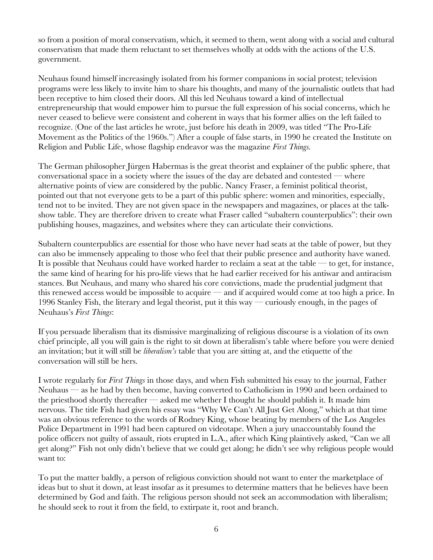so from a position of moral conservatism, which, it seemed to them, went along with a social and cultural conservatism that made them reluctant to set themselves wholly at odds with the actions of the U.S. government.

Neuhaus found himself increasingly isolated from his former companions in social protest; television programs were less likely to invite him to share his thoughts, and many of the journalistic outlets that had been receptive to him closed their doors. All this led Neuhaus toward a kind of intellectual entrepreneurship that would empower him to pursue the full expression of his social concerns, which he never ceased to believe were consistent and coherent in ways that his former allies on the left failed to recognize. (One of the last articles he wrote, just before his death in 2009, was titled "The Pro-Life Movement as the Politics of the 1960s.") After a couple of false starts, in 1990 he created the Institute on Religion and Public Life, whose flagship endeavor was the magazine *First Things.*

The German philosopher Jürgen Habermas is the great theorist and explainer of the public sphere, that conversational space in a society where the issues of the day are debated and contested — where alternative points of view are considered by the public. Nancy Fraser, a feminist political theorist, pointed out that not everyone gets to be a part of this public sphere: women and minorities, especially, tend not to be invited. They are not given space in the newspapers and magazines, or places at the talkshow table. They are therefore driven to create what Fraser called "subaltern counterpublics": their own publishing houses, magazines, and websites where they can articulate their convictions.

Subaltern counterpublics are essential for those who have never had seats at the table of power, but they can also be immensely appealing to those who feel that their public presence and authority have waned. It is possible that Neuhaus could have worked harder to reclaim a seat at the table — to get, for instance, the same kind of hearing for his pro-life views that he had earlier received for his antiwar and antiracism stances. But Neuhaus, and many who shared his core convictions, made the prudential judgment that this renewed access would be impossible to acquire — and if acquired would come at too high a price. In 1996 Stanley Fish, the literary and legal theorist, put it this way — curiously enough, in the pages of Neuhaus's *First Things*:

If you persuade liberalism that its dismissive marginalizing of religious discourse is a violation of its own chief principle, all you will gain is the right to sit down at liberalism's table where before you were denied an invitation; but it will still be *liberalism's* table that you are sitting at, and the etiquette of the conversation will still be hers.

I wrote regularly for *First Things* in those days, and when Fish submitted his essay to the journal, Father Neuhaus — as he had by then become, having converted to Catholicism in 1990 and been ordained to the priesthood shortly thereafter — asked me whether I thought he should publish it. It made him nervous. The title Fish had given his essay was "Why We Can't All Just Get Along," which at that time was an obvious reference to the words of Rodney King, whose beating by members of the Los Angeles Police Department in 1991 had been captured on videotape. When a jury unaccountably found the police officers not guilty of assault, riots erupted in L.A., after which King plaintively asked, "Can we all get along?" Fish not only didn't believe that we could get along; he didn't see why religious people would want to:

To put the matter baldly, a person of religious conviction should not want to enter the marketplace of ideas but to shut it down, at least insofar as it presumes to determine matters that he believes have been determined by God and faith. The religious person should not seek an accommodation with liberalism; he should seek to rout it from the field, to extirpate it, root and branch.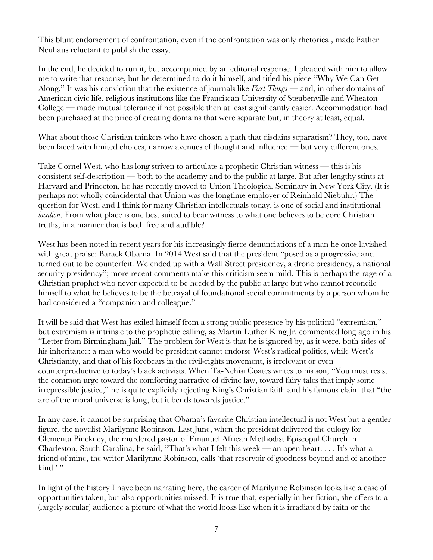This blunt endorsement of confrontation, even if the confrontation was only rhetorical, made Father Neuhaus reluctant to publish the essay.

In the end, he decided to run it, but accompanied by an editorial response. I pleaded with him to allow me to write that response, but he determined to do it himself, and titled his piece "Why We Can Get Along." It was his conviction that the existence of journals like *First Things* — and, in other domains of American civic life, religious institutions like the Franciscan University of Steubenville and Wheaton College — made mutual tolerance if not possible then at least significantly easier. Accommodation had been purchased at the price of creating domains that were separate but, in theory at least, equal.

What about those Christian thinkers who have chosen a path that disdains separatism? They, too, have been faced with limited choices, narrow avenues of thought and influence — but very different ones.

Take Cornel West, who has long striven to articulate a prophetic Christian witness — this is his consistent self-description — both to the academy and to the public at large. But after lengthy stints at Harvard and Princeton, he has recently moved to Union Theological Seminary in New York City. (It is perhaps not wholly coincidental that Union was the longtime employer of Reinhold Niebuhr.) The question for West, and I think for many Christian intellectuals today, is one of social and institutional *location*. From what place is one best suited to bear witness to what one believes to be core Christian truths, in a manner that is both free and audible?

West has been noted in recent years for his increasingly fierce denunciations of a man he once lavished with great praise: Barack Obama. In 2014 West said that the president "posed as a progressive and turned out to be counterfeit. We ended up with a Wall Street presidency, a drone presidency, a national security presidency"; more recent comments make this criticism seem mild. This is perhaps the rage of a Christian prophet who never expected to be heeded by the public at large but who cannot reconcile himself to what he believes to be the betrayal of foundational social commitments by a person whom he had considered a "companion and colleague."

It will be said that West has exiled himself from a strong public presence by his political "extremism," but extremism is intrinsic to the prophetic calling, as Martin Luther King Jr. commented long ago in his "Letter from Birmingham Jail." The problem for West is that he is ignored by, as it were, both sides of his inheritance: a man who would be president cannot endorse West's radical politics, while West's Christianity, and that of his forebears in the civil-rights movement, is irrelevant or even counterproductive to today's black activists. When Ta-Nehisi Coates writes to his son, "You must resist the common urge toward the comforting narrative of divine law, toward fairy tales that imply some irrepressible justice," he is quite explicitly rejecting King's Christian faith and his famous claim that "the arc of the moral universe is long, but it bends towards justice."

In any case, it cannot be surprising that Obama's favorite Christian intellectual is not West but a gentler figure, the novelist Marilynne Robinson. Last June, when the president delivered the eulogy for Clementa Pinckney, the murdered pastor of Emanuel African Methodist Episcopal Church in Charleston, South Carolina, he said, "That's what I felt this week — an open heart. . . . It's what a friend of mine, the writer Marilynne Robinson, calls 'that reservoir of goodness beyond and of another kind.'"

In light of the history I have been narrating here, the career of Marilynne Robinson looks like a case of opportunities taken, but also opportunities missed. It is true that, especially in her fiction, she offers to a (largely secular) audience a picture of what the world looks like when it is irradiated by faith or the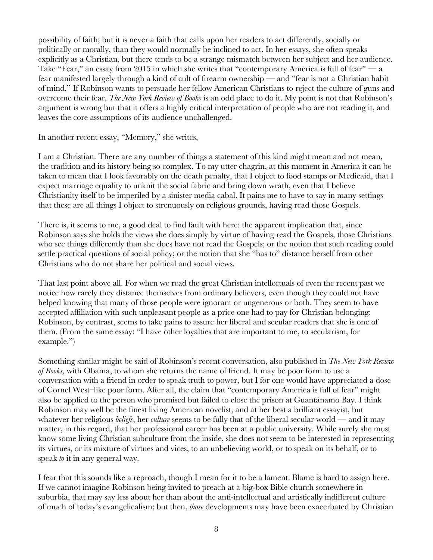possibility of faith; but it is never a faith that calls upon her readers to act differently, socially or politically or morally, than they would normally be inclined to act. In her essays, she often speaks explicitly as a Christian, but there tends to be a strange mismatch between her subject and her audience. Take "Fear," an essay from 2015 in which she writes that "contemporary America is full of fear" — a fear manifested largely through a kind of cult of firearm ownership — and "fear is not a Christian habit of mind." If Robinson wants to persuade her fellow American Christians to reject the culture of guns and overcome their fear, *The New York Review of Books* is an odd place to do it. My point is not that Robinson's argument is wrong but that it offers a highly critical interpretation of people who are not reading it, and leaves the core assumptions of its audience unchallenged.

In another recent essay, "Memory," she writes,

I am a Christian. There are any number of things a statement of this kind might mean and not mean, the tradition and its history being so complex. To my utter chagrin, at this moment in America it can be taken to mean that I look favorably on the death penalty, that I object to food stamps or Medicaid, that I expect marriage equality to unknit the social fabric and bring down wrath, even that I believe Christianity itself to be imperiled by a sinister media cabal. It pains me to have to say in many settings that these are all things I object to strenuously on religious grounds, having read those Gospels.

There is, it seems to me, a good deal to find fault with here: the apparent implication that, since Robinson says she holds the views she does simply by virtue of having read the Gospels, those Christians who see things differently than she does have not read the Gospels; or the notion that such reading could settle practical questions of social policy; or the notion that she "has to" distance herself from other Christians who do not share her political and social views.

That last point above all. For when we read the great Christian intellectuals of even the recent past we notice how rarely they distance themselves from ordinary believers, even though they could not have helped knowing that many of those people were ignorant or ungenerous or both. They seem to have accepted affiliation with such unpleasant people as a price one had to pay for Christian belonging; Robinson, by contrast, seems to take pains to assure her liberal and secular readers that she is one of them. (From the same essay: "I have other loyalties that are important to me, to secularism, for example.")

Something similar might be said of Robinson's recent conversation, also published in *The New York Review of Books,* with Obama, to whom she returns the name of friend. It may be poor form to use a conversation with a friend in order to speak truth to power, but I for one would have appreciated a dose of Cornel West–like poor form. After all, the claim that "contemporary America is full of fear" might also be applied to the person who promised but failed to close the prison at Guantánamo Bay. I think Robinson may well be the finest living American novelist, and at her best a brilliant essayist, but whatever her religious *beliefs*, her *culture* seems to be fully that of the liberal secular world — and it may matter, in this regard, that her professional career has been at a public university. While surely she must know some living Christian subculture from the inside, she does not seem to be interested in representing its virtues, or its mixture of virtues and vices, to an unbelieving world, or to speak on its behalf, or to speak *to* it in any general way.

I fear that this sounds like a reproach, though I mean for it to be a lament. Blame is hard to assign here. If we cannot imagine Robinson being invited to preach at a big-box Bible church somewhere in suburbia, that may say less about her than about the anti-intellectual and artistically indifferent culture of much of today's evangelicalism; but then, *those* developments may have been exacerbated by Christian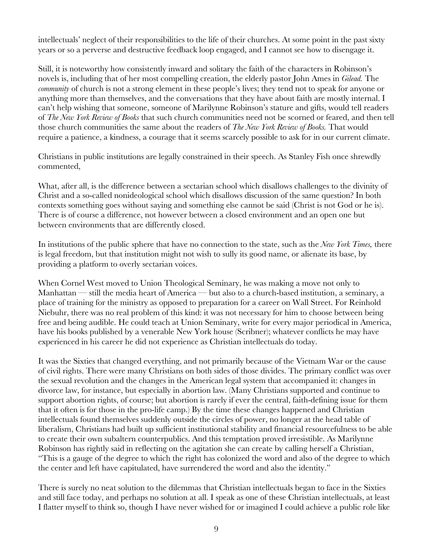intellectuals' neglect of their responsibilities to the life of their churches. At some point in the past sixty years or so a perverse and destructive feedback loop engaged, and I cannot see how to disengage it.

Still, it is noteworthy how consistently inward and solitary the faith of the characters in Robinson's novels is, including that of her most compelling creation, the elderly pastor John Ames in *Gilead.* The *community* of church is not a strong element in these people's lives; they tend not to speak for anyone or anything more than themselves, and the conversations that they have about faith are mostly internal. I can't help wishing that someone, someone of Marilynne Robinson's stature and gifts, would tell readers of *The New York Review of Books* that such church communities need not be scorned or feared, and then tell those church communities the same about the readers of *The New York Review of Books.* That would require a patience, a kindness, a courage that it seems scarcely possible to ask for in our current climate.

Christians in public institutions are legally constrained in their speech. As Stanley Fish once shrewdly commented,

What, after all, is the difference between a sectarian school which disallows challenges to the divinity of Christ and a so-called nonideological school which disallows discussion of the same question? In both contexts something goes without saying and something else cannot be said (Christ is not God or he is). There is of course a difference, not however between a closed environment and an open one but between environments that are differently closed.

In institutions of the public sphere that have no connection to the state, such as the *New York Times,* there is legal freedom, but that institution might not wish to sully its good name, or alienate its base, by providing a platform to overly sectarian voices.

When Cornel West moved to Union Theological Seminary, he was making a move not only to Manhattan — still the media heart of America — but also to a church-based institution, a seminary, a place of training for the ministry as opposed to preparation for a career on Wall Street. For Reinhold Niebuhr, there was no real problem of this kind: it was not necessary for him to choose between being free and being audible. He could teach at Union Seminary, write for every major periodical in America, have his books published by a venerable New York house (Scribner); whatever conflicts he may have experienced in his career he did not experience as Christian intellectuals do today.

It was the Sixties that changed everything, and not primarily because of the Vietnam War or the cause of civil rights. There were many Christians on both sides of those divides. The primary conflict was over the sexual revolution and the changes in the American legal system that accompanied it: changes in divorce law, for instance, but especially in abortion law. (Many Christians supported and continue to support abortion rights, of course; but abortion is rarely if ever the central, faith-defining issue for them that it often is for those in the pro-life camp.) By the time these changes happened and Christian intellectuals found themselves suddenly outside the circles of power, no longer at the head table of liberalism, Christians had built up sufficient institutional stability and financial resourcefulness to be able to create their own subaltern counterpublics. And this temptation proved irresistible. As Marilynne Robinson has rightly said in reflecting on the agitation she can create by calling herself a Christian, "This is a gauge of the degree to which the right has colonized the word and also of the degree to which the center and left have capitulated, have surrendered the word and also the identity."

There is surely no neat solution to the dilemmas that Christian intellectuals began to face in the Sixties and still face today, and perhaps no solution at all. I speak as one of these Christian intellectuals, at least I flatter myself to think so, though I have never wished for or imagined I could achieve a public role like